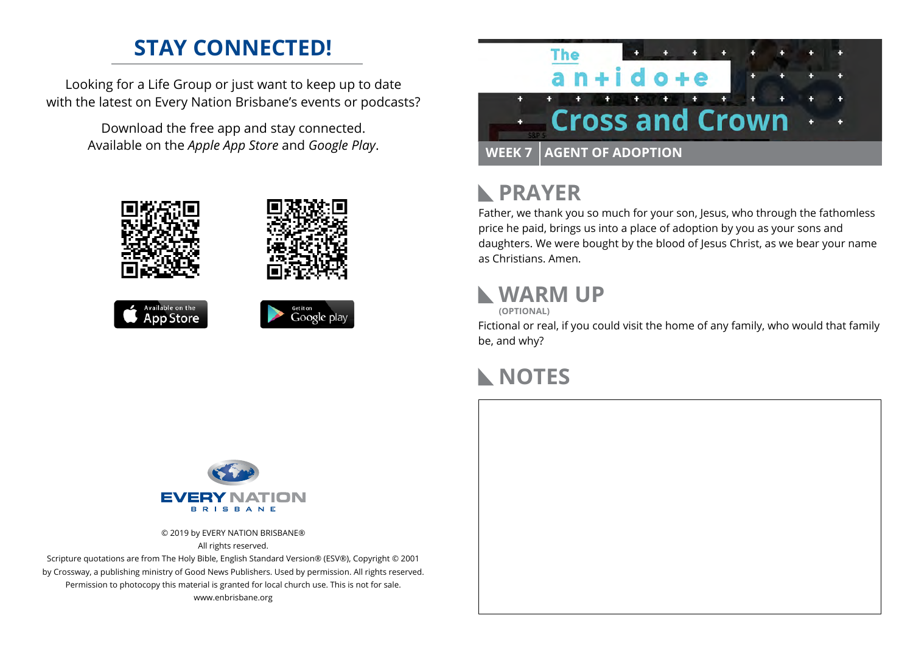## **STAY CONNECTED!**

Looking for a Life Group or just want to keep up to date with the latest on Every Nation Brisbane's events or podcasts?

> Download the free app and stay connected. Available on the *Apple App Store* and *Google Play*.











## **PRAYER**

Father, we thank you so much for your son, Jesus, who through the fathomless price he paid, brings us into a place of adoption by you as your sons and daughters. We were bought by the blood of Jesus Christ, as we bear your name as Christians. Amen.

#### **WARM UP**

**(OPTIONAL)**

Fictional or real, if you could visit the home of any family, who would that family be, and why?

## **NOTES**



© 2019 by EVERY NATION BRISBANE® All rights reserved.

Scripture quotations are from The Holy Bible, English Standard Version® (ESV®), Copyright © 2001 by Crossway, a publishing ministry of Good News Publishers. Used by permission. All rights reserved. Permission to photocopy this material is granted for local church use. This is not for sale. www.enbrisbane.org